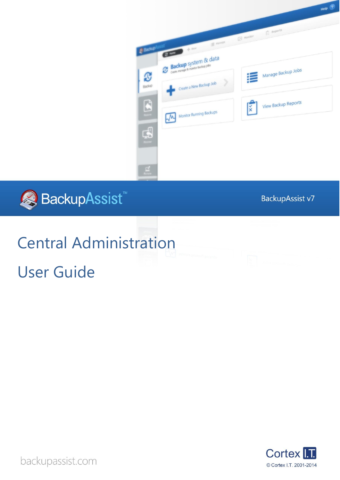



BackupAssist v7

# Central Administration User Guide



backupassist.com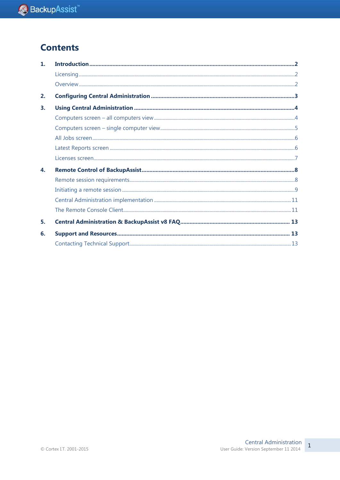## **Contents**

| $\mathbf{1}$ . |  |
|----------------|--|
|                |  |
|                |  |
| 2.             |  |
| 3.             |  |
|                |  |
|                |  |
|                |  |
|                |  |
|                |  |
| 4.             |  |
|                |  |
|                |  |
|                |  |
|                |  |
| 5.             |  |
| 6.             |  |
|                |  |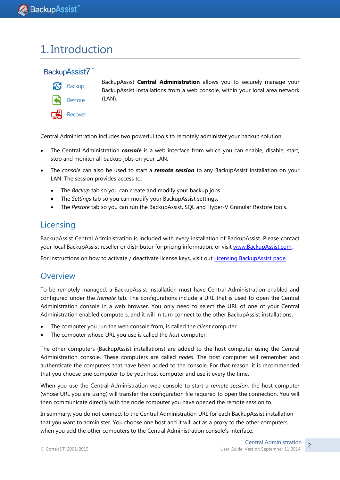## 1. Introduction

### BackupAssist7



Restore

Recover

BackupAssist **Central Administration** allows you to securely manage your BackupAssist installations from a web console, within your local area network (LAN).

Central Administration includes two powerful tools to remotely administer your backup solution:

- The Central Administration *console* is a web interface from which you can enable, disable, start, stop and monitor all backup jobs on your LAN.
- The *console* can also be used to start a *remote session* to any BackupAssist installation on your LAN. The session provides access to:
	- The *Backup* tab so you can create and modify your backup jobs
	- The *Settings* tab so you can modify your BackupAssist settings.
	- The *Restore* tab so you can run the BackupAssist, SQL and Hyper-V Granular Restore tools.

## Licensing

BackupAssist Central Administration is included with every installation of BackupAssist. Please contact your local BackupAssist reseller or distributor for pricing information, or visit [www.BackupAssist.com.](http://www.backupassist.com/)

For instructions on how to activate / deactivate license keys, visit out [Licensing BackupAssist page.](http://www.backupassist.com/education/whitepapers/licensing_backupassist.html)

### **Overview**

To be remotely managed, a BackupAssist installation must have Central Administration enabled and configured under the *Remote* tab. The configurations include a URL that is used to open the Central Administration console in a web browser. You only need to select the URL of one of your Central Administration enabled computers, and it will in turn connect to the other BackupAssist installations.

- The computer you run the web console from, is called the *client* computer.
- The computer whose URL you use is called the *host* computer.

The other computers (BackupAssist installations) are added to the host computer using the Central Administration console. These computers are called *nodes*. The host computer will remember and authenticate the computers that have been added to the console. For that reason, it is recommended that you choose one computer to be your host computer and use it every the time.

When you use the Central Administration web console to start a *remote session*, the host computer (whose URL you are using) will transfer the configuration file required to open the connection. You will then communicate directly with the node computer you have opened the remote session to.

In summary: you do not connect to the Central Administration URL for each BackupAssist installation that you want to administer. You choose one host and it will act as a proxy to the other computers, when you add the other computers to the Central Administration console's interface.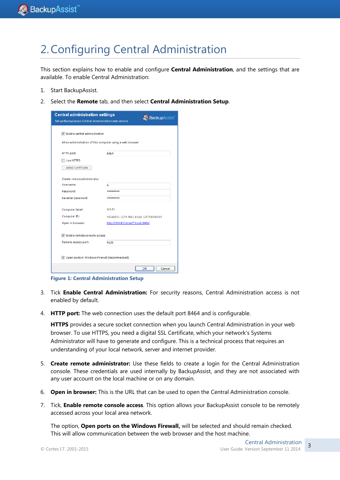## <span id="page-3-0"></span>2.Configuring Central Administration

This section explains how to enable and configure **Central Administration**, and the settings that are available. To enable Central Administration:

- 1. Start BackupAssist.
- 2. Select the **Remote** tab, and then select **Central Administration Setup**.

| <b>Central administration settings</b><br>Set up BackupAssist Central Administration web service | <b>Backup</b> Assist                 |
|--------------------------------------------------------------------------------------------------|--------------------------------------|
| T Enable central administration<br>Allow administration of this computer using a web browser     |                                      |
| HTTP port:                                                                                       | 8464                                 |
| Use HTTPS<br>Select Certificate                                                                  |                                      |
| Create remote administrator                                                                      |                                      |
| Username:                                                                                        | ri                                   |
| Password:                                                                                        | ********                             |
| Re-enter password:                                                                               | ********                             |
| Computer label:                                                                                  | WS-RT                                |
| Computer ID:                                                                                     | 402de541-1174-4861-b1bd-13f74d54b964 |
| Open in browser:                                                                                 | http://WS-RiCortexIT.local:8464/     |
| T Enable remote console access                                                                   |                                      |
| Remote access port:                                                                              | 9120                                 |
| Open ports in Windows Firewall (recommended)                                                     | OK<br>Cancel                         |
|                                                                                                  |                                      |

**Figure 1: Central Administration Setup**

- 3. Tick **Enable Central Administration:** For security reasons, Central Administration access is not enabled by default.
- 4. **HTTP port:** The web connection uses the default port 8464 and is configurable.

**HTTPS** provides a secure socket connection when you launch Central Administration in your web browser. To use HTTPS, you need a digital SSL Certificate, which your network's Systems Administrator will have to generate and configure. This is a technical process that requires an understanding of your local network, server and internet provider.

- 5. **Create remote administrator:** Use these fields to create a login for the Central Administration console. These credentials are used internally by BackupAssist, and they are not associated with any user account on the local machine or on any domain.
- 6. **Open in browser:** This is the URL that can be used to open the Central Administration console.
- 7. Tick, **Enable remote console access**. This option allows your BackupAssist console to be remotely accessed across your local area network.

The option, **Open ports on the Windows Firewall,** will be selected and should remain checked. This will allow communication between the web browser and the host machine.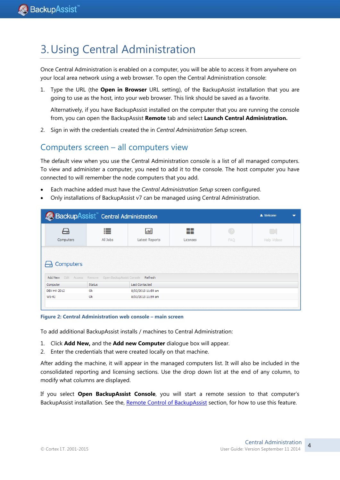## <span id="page-4-1"></span>3.Using Central Administration

<span id="page-4-0"></span>Once Central Administration is enabled on a computer, you will be able to access it from anywhere on your local area network using a web browser. To open the Central Administration console:

1. Type the URL (the **Open in Browser** URL setting), of the BackupAssist installation that you are going to use as the host, into your web browser. This link should be saved as a favorite.

Alternatively, if you have BackupAssist installed on the computer that you are running the console from, you can open the BackupAssist **Remote** tab and select **Launch Central Administration.**

2. Sign in with the credentials created the in *Central Administration Setup* screen.

### Computers screen – all computers view

The default view when you use the Central Administration console is a list of all managed computers. To view and administer a computer, you need to add it to the console. The host computer you have connected to will remember the node computers that you add.

- Each machine added must have the *Central Administration Setup* screen configured.
- Only installations of BackupAssist v7 can be managed using Central Administration.

|                     | BackupAssist Central Administration                                   |                                          |                 |                              | <b>A</b> Welcome             |  |
|---------------------|-----------------------------------------------------------------------|------------------------------------------|-----------------|------------------------------|------------------------------|--|
| ⊣<br>Computers      | ≣<br>All Jobs                                                         | <b>Jail</b><br>Latest Reports            | . .<br>Licenses | $\binom{2}{2}$<br><b>FAQ</b> | $\Box$<br><b>Help Videos</b> |  |
|                     |                                                                       |                                          |                 |                              |                              |  |
| Computers<br>ᆔ      |                                                                       |                                          |                 |                              |                              |  |
| Add New<br>Computer | Edit Access Remove Open BackupAssist Console Refresh<br><b>Status</b> | <b>Last Contacted</b>                    |                 |                              |                              |  |
|                     |                                                                       |                                          |                 |                              |                              |  |
| DEV-HV-2012         | Ok                                                                    |                                          |                 |                              |                              |  |
| WS-RI               | Ok                                                                    | 8/03/2013 11:59 am<br>8/03/2013 11:59 am |                 |                              |                              |  |

**Figure 2: Central Administration web console – main screen**

To add additional BackupAssist installs / machines to Central Administration:

- 1. Click **Add New,** and the **Add new Computer** dialogue box will appear.
- 2. Enter the credentials that were created locally on that machine.

After adding the machine, it will appear in the managed computers list. It will also be included in the consolidated reporting and licensing sections. Use the drop down list at the end of any column, to modify what columns are displayed.

If you select **Open BackupAssist Console**, you will start a remote session to that computer's BackupAssist installation. See the, [Remote Control of BackupAssist](#page-8-0) section, for how to use this feature.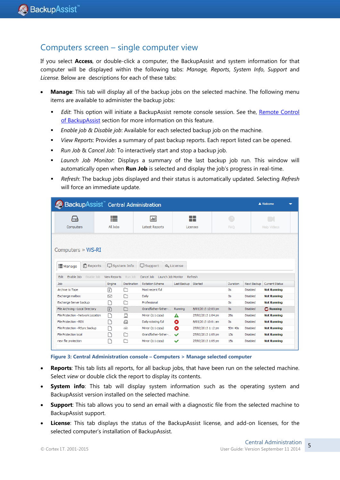### Computers screen – single computer view

If you select **Access**, or double-click a computer, the BackupAssist and system information for that computer will be displayed within the following tabs: *Manage, Reports*, *System Info*, *Support* and *License*. Below are descriptions for each of these tabs:

- **Manage**: This tab will display all of the backup jobs on the selected machine. The following menu items are available to administer the backup jobs:
	- **Edit:** This option will initiate a BackupAssist remote console session. See the, Remote Control [of BackupAssist](#page-8-0) section for more information on this feature.
	- *Enable job & Disable job*: Available for each selected backup job on the machine.
	- *View Reports*: Provides a summary of past backup reports. Each report listed can be opened.
	- *Run Job* & *Cancel Job*: To interactively start and stop a backup job.
	- *Launch Job Monitor*: Displays a summary of the last backup job run. This window will automatically open when **Run Job** is selected and display the job's progress in real-time.
	- *Refresh*: The backup jobs displayed and their status is automatically updated. Selecting *Refresh* will force an immediate update.

| BackupAssist" Central Administration<br>& Welcome<br>┳                                                                                                                   |                                    |             |                                  |                        |                    |                     |                 |                       |
|--------------------------------------------------------------------------------------------------------------------------------------------------------------------------|------------------------------------|-------------|----------------------------------|------------------------|--------------------|---------------------|-----------------|-----------------------|
| −≖                                                                                                                                                                       | ≔                                  |             | lad                              |                        | - -<br>- 1         | $\overline{z}$      |                 |                       |
| Computers                                                                                                                                                                | All Jobs                           |             | <b>Latest Reports</b>            |                        | Licenses           | <b>FAO</b>          |                 | Help Videos           |
| Computers $\gg$ WS-RI<br>這 Manage                                                                                                                                        | Reports                            | System Info | $\Box$ Support                   | Q <sub>e</sub> License |                    |                     |                 |                       |
| Enable Job                                                                                                                                                               | Disable Job<br><b>View Reports</b> | Run Job     | Launch Job Monitor<br>Cancel Job |                        | Refresh            |                     |                 |                       |
|                                                                                                                                                                          | Engine                             | Destination | <b>Rotation Scheme</b>           | Last Backup            | Started            | Duration            | Next Backup     | <b>Current Status</b> |
|                                                                                                                                                                          | n                                  | œ           | Most recent full                 |                        |                    | 0s                  | Disabled        | <b>Not Running</b>    |
|                                                                                                                                                                          | 罓                                  | n           | Daily                            |                        |                    | 0s                  | Disabled        | <b>Not Running</b>    |
| Edit                                                                                                                                                                     |                                    |             | Professional                     |                        |                    | 0s                  | Disabled        | <b>Not Running</b>    |
|                                                                                                                                                                          | 同                                  | г           | Grandfather-father-              | Running                | 8/03/2013 12:03 pm | 0s                  | <b>Disabled</b> | $\Omega$ Running      |
|                                                                                                                                                                          |                                    | ₫           | Mirror (1:1 copy)                | Δ                      | 27/02/2013 1:04 pm | 26s                 | <b>Disabled</b> | <b>Not Running</b>    |
| Job.<br>Archive to Tape<br>Exchange mailbox<br>Exchange Server backup<br>File Archiving - Local Directory<br>File Protection - Network Location<br>File Protection - RDX |                                    | ⊖           | Daily rotating full              | ☎                      | 8/03/2013 10:01 am | 0s                  | Disabled        | <b>Not Running</b>    |
| File Protection - RSync backup                                                                                                                                           | ٦                                  | ⋒           | Mirror (1:1 copy)                | ☎                      | 27/02/2013 1:12 pm | 50 <sub>m</sub> 40s | Disabled        | <b>Not Running</b>    |
| File Protection local                                                                                                                                                    | ٦                                  | r           | Grandfather-father-              | $\checkmark$           | 27/02/2013 1:05 pm | 13s                 | Disabled        | <b>Not Running</b>    |

**Figure 3: Central Administration console – Computers > Manage selected computer**

- **Reports**: This tab lists all reports, for all backup jobs, that have been run on the selected machine. Select *view* or double click the report to display its contents.
- **System info**: This tab will display system information such as the operating system and BackupAssist version installed on the selected machine.
- **Support**: This tab allows you to send an email with a diagnostic file from the selected machine to BackupAssist support.
- **License**: This tab displays the status of the BackupAssist license, and add-on licenses, for the selected computer's installation of BackupAssist.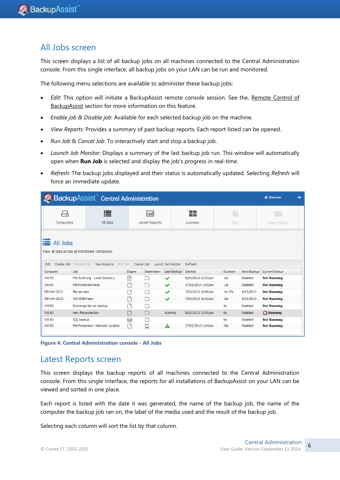### All Jobs screen

This screen displays a list of all backup jobs on all machines connected to the Central Administration console. From this single interface, all backup jobs on your LAN can be run and monitored.

The following menu selections are available to administer these backup jobs:

- *Edit*: This option will initiate a BackupAssist remote console session. See the, [Remote Control of](#page-8-0)  [BackupAssist](#page-8-0) section for more information on this feature.
- *Enable job & Disable job*: Available for each selected backup job on the machine.
- *View Reports*: Provides a summary of past backup reports. Each report listed can be opened.
- *Run Job* & *Cancel Job*: To interactively start and stop a backup job.
- *Launch Job Monitor*: Displays a summary of the last backup job run. This window will automatically open when **Run Job** is selected and display the job's progress in real-time.
- *Refresh*: The backup jobs displayed and their status is automatically updated. Selecting *Refresh* will force an immediate update.

| BackupAssist Central Administration<br><b>A</b> Welcome<br>$\overline{\phantom{a}}$ |                                                                   |        |                                      |                                   |                        |                          |                 |                       |  |
|-------------------------------------------------------------------------------------|-------------------------------------------------------------------|--------|--------------------------------------|-----------------------------------|------------------------|--------------------------|-----------------|-----------------------|--|
| ⊢⊶<br>Computers                                                                     | 這<br>All Jobs                                                     |        | $ $ and $ $<br><b>Latest Reports</b> |                                   | - 1<br>- -<br>Licenses | $\sqrt{2}$<br><b>FAO</b> |                 | Help Videos           |  |
| Enable Job<br>Edit                                                                  | <b>EXAIL</b> Jobs<br>View all jobs across all monitored computers |        |                                      |                                   |                        |                          |                 |                       |  |
| Computer                                                                            | Disable Job<br><b>View Reports</b><br>Run Job<br>Job              | Engine | Cancel Job<br>Destination            | Launch Job Monitor<br>Last Backup | Refresh<br>Started     | Duration                 | Next Backup     | <b>Current Status</b> |  |
| WS-RI                                                                               | File Archiving - Local Directory                                  | 团      |                                      | $\checkmark$                      | 8/03/2013 12:03 pm     | <b>16s</b>               | Disabled        | <b>Not Running</b>    |  |
| WS-RI                                                                               | File Protection local                                             |        |                                      | ✓                                 | 27/02/2013 1:05 pm     | 13s                      | <b>Disabled</b> | <b>Not Running</b>    |  |
| DEV-HV-2012                                                                         | file rep test                                                     |        |                                      | ✓                                 | 7/03/2013 10:00 pm     | $1m$ $27s$               | 8/03/2013       | <b>Not Running</b>    |  |
| DEV-HV-2012                                                                         | VSS SMB3 test                                                     |        | □                                    | $\checkmark$                      | 7/03/2013 10:02 pm     | 16s                      | 8/03/2013       | <b>Not Running</b>    |  |
| WS-RI                                                                               | Exchange Server backup                                            |        |                                      |                                   |                        | 0s                       | Disabled        | <b>Not Running</b>    |  |
| WS-RI                                                                               | new file protection                                               |        |                                      | Running                           | 8/03/2013 12:05 pm     | 0s                       | Disabled        | $\Omega$ Running      |  |
| WS-RI                                                                               | SOL backup                                                        | 9      |                                      |                                   |                        | 0s                       | Disabled        | <b>Not Running</b>    |  |
| WS-RI                                                                               | File Protection - Network Location                                |        | ₽                                    | А                                 | 27/02/2013 1:04 pm     | 26s                      | Disabled        | <b>Not Running</b>    |  |
|                                                                                     |                                                                   |        |                                      |                                   |                        |                          |                 |                       |  |

**Figure 4: Central Administration console - All Jobs**

### Latest Reports screen

This screen displays the backup reports of all machines connected to the Central Administration console. From this single interface, the reports for all installations of BackupAssist on your LAN can be viewed and sorted in one place.

Each report is listed with the date it was generated, the name of the backup job, the name of the computer the backup job ran on, the label of the media used and the result of the backup job.

Selecting each column will sort the list by that column.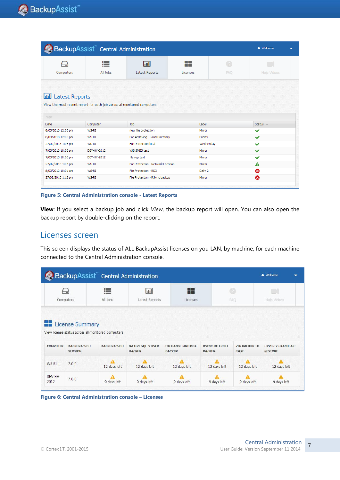| BackupAssist Central Administration<br><b>A</b> Welcome                                              |               |                                    |                        |          |                    |  |  |  |
|------------------------------------------------------------------------------------------------------|---------------|------------------------------------|------------------------|----------|--------------------|--|--|--|
| - 77<br>Computers                                                                                    | 這<br>All Jobs | .nll<br>Latest Reports             | - 1<br>- 1<br>Licenses | 7<br>FAO | <b>Help Videos</b> |  |  |  |
| <b>III</b> Latest Reports<br>View the most recent report for each job across all monitored computers |               |                                    |                        |          |                    |  |  |  |
|                                                                                                      |               |                                    |                        |          |                    |  |  |  |
| View                                                                                                 |               |                                    |                        |          |                    |  |  |  |
| Date                                                                                                 | Computer      | Job                                | Label                  |          | Status $\sim$      |  |  |  |
| 8/03/2013 12:05 pm                                                                                   | WS-RI         | new file protection                | Mirror                 |          | $\checkmark$       |  |  |  |
| 8/03/2013 12:03 pm                                                                                   | WS-RI         | File Archiving - Local Directory   | Friday                 |          | $\checkmark$       |  |  |  |
| 27/02/2013 1:05 pm                                                                                   | WS-RT         | File Protection local              | Wednesday              |          | $\checkmark$       |  |  |  |
| 7/03/2013 10:02 pm                                                                                   | DEV-HV-2012   | VSS SMB3 test                      | Mirror                 |          | $\checkmark$       |  |  |  |
| 7/03/2013 10:00 pm                                                                                   | DEV-HV-2012   | file rep test                      | Mirror                 |          | $\checkmark$       |  |  |  |
| 27/02/2013 1:04 pm                                                                                   | WS-RT         | File Protection - Network Location | Mirror                 |          | Α                  |  |  |  |
| 8/03/2013 10:01 am                                                                                   | WS-RI         | File Protection - RDX              | Daily 2                |          | ೞ                  |  |  |  |

**Figure 5: Central Administration console - Latest Reports**

**View**: If you select a backup job and click *View*, the backup report will open. You can also open the backup report by double-clicking on the report.

### Licenses screen

This screen displays the status of ALL BackupAssist licenses on you LAN, by machine, for each machine connected to the Central Administration console.

|                 | BackupAssist <sup>"</sup> Central Administration<br><b>A</b> Welcome<br>▼                                                                              |                     |                                           |                                          |                                        |                                     |                                           |  |  |  |
|-----------------|--------------------------------------------------------------------------------------------------------------------------------------------------------|---------------------|-------------------------------------------|------------------------------------------|----------------------------------------|-------------------------------------|-------------------------------------------|--|--|--|
|                 | 這<br>a Bi<br>$\Box$<br>$ $ , $ $<br>$\mathbb{Z}$<br>−∷<br><b>Bill Car</b><br>All Jobs<br>Latest Reports<br>FAO<br>Computers<br>Licenses<br>Halp Videos |                     |                                           |                                          |                                        |                                     |                                           |  |  |  |
|                 | <b>License Summary</b><br>View license status across all monitored computers                                                                           |                     |                                           |                                          |                                        |                                     |                                           |  |  |  |
| <b>COMPUTER</b> | <b>BACKUPASSIST</b><br><b>VERSION</b>                                                                                                                  | <b>BACKUPASSIST</b> | <b>NATIVE SQL SERVER</b><br><b>BACKUP</b> | <b>EXCHANGE MAILBOX</b><br><b>BACKUP</b> | <b>RSYNC INTERNET</b><br><b>BACKUP</b> | <b>ZIP BACKUP TO</b><br><b>TAPE</b> | <b>HYPER-V GRANULAR</b><br><b>RESTORE</b> |  |  |  |
| WS-RI           | 7.0.0                                                                                                                                                  | 12 days left        | 12 days left                              | 12 days left                             | 12 days left                           | 12 days left                        | 12 days left                              |  |  |  |
| DEV-HV-<br>2012 | 7.0.0                                                                                                                                                  | 9 days left         | 9 days left                               | 9 days left                              | 9 days left                            | 9 days left                         | 9 days left                               |  |  |  |

**Figure 6: Central Administration console – Licenses**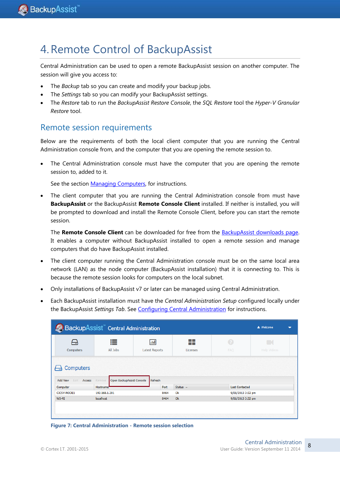## <span id="page-8-0"></span>4.Remote Control of BackupAssist

Central Administration can be used to open a remote BackupAssist session on another computer. The session will give you access to:

- The *Backup* tab so you can create and modify your backup jobs.
- The *Settings* tab so you can modify your BackupAssist settings.
- The *Restore* tab to run the *BackupAssist Restore Console*, the *SQL Restore* tool the *Hyper-V Granular Restore* tool.

## Remote session requirements

Below are the requirements of both the local client computer that you are running the Central Administration console from, and the computer that you are opening the remote session to.

 The Central Administration console must have the computer that you are opening the remote session to, added to it.

See the section [Managing Computers,](#page-4-0) for instructions.

 The client computer that you are running the Central Administration console from must have **BackupAssist** or the BackupAssist **Remote Console Client** installed. If neither is installed, you will be prompted to download and install the Remote Console Client, before you can start the remote session.

The **Remote Console Client** can be downloaded for free from the [BackupAssist downloads page.](http://www.backupassist.com/BackupAssist/download.php)  It enables a computer without BackupAssist installed to open a remote session and manage computers that do have BackupAssist installed.

- The client computer running the Central Administration console must be on the same local area network (LAN) as the node computer (BackupAssist installation) that it is connecting to. This is because the remote session looks for computers on the local subnet.
- Only installations of BackupAssist v7 or later can be managed using Central Administration.
- Each BackupAssist installation must have the *Central Administration Setup* configured locally under the BackupAssist *Settings Tab*. See [Configuring Central Administration](#page-3-0) for instructions.

|                           | BackupAssist" Central Administration |                               |                    |                       | & Welcome               | ┳ |
|---------------------------|--------------------------------------|-------------------------------|--------------------|-----------------------|-------------------------|---|
| −⊶<br>Computers           | ⊫<br>All Jobs                        | [Jul<br><b>Latest Reports</b> | n di<br>Licenses   | Ø<br><b>FAQ</b>       | K<br><b>Help Videos</b> |   |
| Computers                 |                                      |                               |                    |                       |                         |   |
| Edit<br>Add New<br>Access | Open BackupAssist Console<br>Remove  | Refresh                       |                    |                       |                         |   |
| Computer                  | Hostname <sup>®</sup>                | <b>Port</b>                   | Status $\triangle$ | <b>Last Contacted</b> |                         |   |
| <b>CICSV-NODE1</b>        | 192.168.1.201                        | 8464                          | Ok                 | 9/01/2013 3:32 pm     |                         |   |
| WS-RI                     | localhost                            | 8464                          | Ok                 | 9/01/2013 3:32 pm     |                         |   |
|                           |                                      |                               |                    |                       |                         |   |
|                           |                                      |                               |                    |                       |                         |   |
|                           |                                      |                               |                    |                       |                         |   |

**Figure 7: Central Administration - Remote session selection**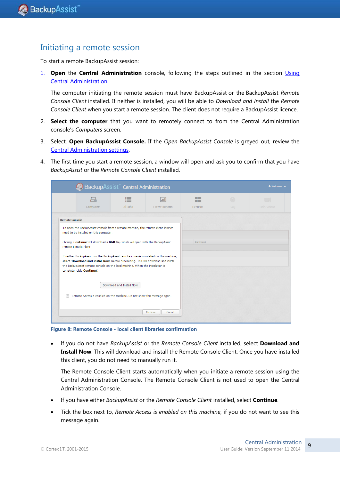## Initiating a remote session

To start a remote BackupAssist session:

1. **Open** the **Central Administration** console, following the steps outlined in the section [Using](#page-4-1)  [Central Administration.](#page-4-1)

The computer initiating the remote session must have BackupAssist or the BackupAssist *Remote Console Client* installed. If neither is installed, you will be able to *Download and Install* the *Remote Console Client* when you start a remote session. The client does not require a BackupAssist licence.

- 2. **Select the computer** that you want to remotely connect to from the Central Administration console's *Computers* screen.
- 3. Select, **Open BackupAssist Console.** If the *Open BackupAssist Console* is greyed out, review the [Central Administration settings.](#page-3-0)
- 4. The first time you start a remote session, a window will open and ask you to confirm that you have *BackupAssist* or the *Remote Console Client* installed.

|                       | BackupAssist" Central Administration                                                                                                                                                                                                                                                              |                          |                    |                 |      | $\triangle$ Welcome $\blacktriangleright$ |
|-----------------------|---------------------------------------------------------------------------------------------------------------------------------------------------------------------------------------------------------------------------------------------------------------------------------------------------|--------------------------|--------------------|-----------------|------|-------------------------------------------|
|                       | $\overline{\cdots}$                                                                                                                                                                                                                                                                               | 這                        | lad                | --<br>--        | (7)  | $\Box$                                    |
|                       | Computers                                                                                                                                                                                                                                                                                         | All Jobs                 | Latest Reports     | <b>Licenses</b> | FAO. | Hela Videos                               |
| <b>Remote Console</b> |                                                                                                                                                                                                                                                                                                   |                          |                    |                 |      |                                           |
|                       | To open the BackupAssist console from a remote machine, the remote client libraries                                                                                                                                                                                                               |                          |                    |                 |      |                                           |
|                       | need to be installed on this computer.                                                                                                                                                                                                                                                            |                          |                    |                 |      |                                           |
|                       | Clicking 'Continue' will download a BAR file, which will open with the BackupAssist<br>remote console client.                                                                                                                                                                                     |                          |                    | Comment         |      |                                           |
|                       | If neither BackupAssist nor the BackupAssist remote console is installed on this machine,<br>select 'Download and install Now' before proceeding. This will download and install<br>the BackupAssist remote console on the local machine. When the installation is<br>complete, click 'Continue'. |                          |                    |                 |      |                                           |
|                       |                                                                                                                                                                                                                                                                                                   | Download and Install Now |                    |                 |      |                                           |
|                       | Remote Access is enabled on this machine. Do not show this message again.                                                                                                                                                                                                                         |                          |                    |                 |      |                                           |
|                       |                                                                                                                                                                                                                                                                                                   |                          | Continue<br>Cancel |                 |      |                                           |

**Figure 8: Remote Console - local client libraries confirmation**

 If you do not have *BackupAssist* or the *Remote Console Client* installed, select **Download and Install Now**. This will download and install the Remote Console Client. Once you have installed this client, you do not need to manually run it.

The Remote Console Client starts automatically when you initiate a remote session using the Central Administration Console. The Remote Console Client is not used to open the Central Administration Console.

- If you have either *BackupAssist* or the *Remote Console Client* installed, select **Continue**.
- Tick the box next to, *Remote Access is enabled on this machine*, if you do not want to see this message again.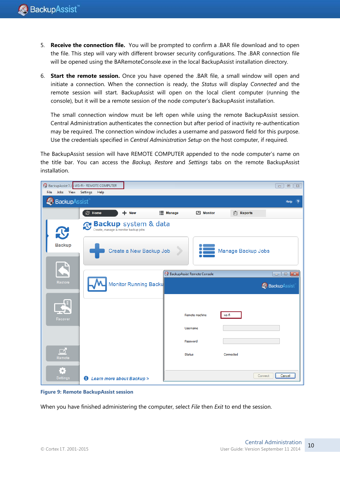- 5. **Receive the connection file.** You will be prompted to confirm a .BAR file download and to open the file. This step will vary with different browser security configurations. The .BAR connection file will be opened using the BARemoteConsole.exe in the local BackupAssist installation directory.
- 6. **Start the remote session.** Once you have opened the .BAR file, a small window will open and initiate a connection. When the connection is ready, the *Status* will display *Connected* and the remote session will start. BackupAssist will open on the local client computer (running the console), but it will be a remote session of the node computer's BackupAssist installation.

The small connection window must be left open while using the remote BackupAssist session. Central Administration authenticates the connection but after period of inactivity re-authentication may be required. The connection window includes a username and password field for this purpose. Use the credentials specified in *Central Administration Setup* on the host computer, if required.

The BackupAssist session will have REMOTE COMPUTER appended to the node computer's name on the title bar. You can access the *Backup, Restore* and *Settings* tabs on the remote BackupAssist installation.



**Figure 9: Remote BackupAssist session**

When you have finished administering the computer, select *File* then *Exit* to end the session.

10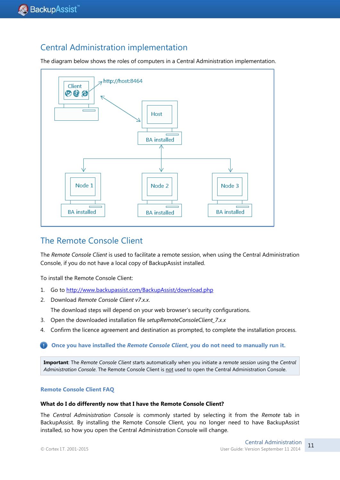## Central Administration implementation

The diagram below shows the roles of computers in a Central Administration implementation.



## The Remote Console Client

The *Remote Console Client* is used to facilitate a remote session, when using the Central Administration Console, if you do not have a local copy of BackupAssist installed.

To install the Remote Console Client:

- 1. Go to<http://www.backupassist.com/BackupAssist/download.php>
- 2. Download *Remote Console Client v7.x.x*.

The download steps will depend on your web browser's security configurations.

- 3. Open the downloaded installation file *setupRemoteConsoleClient\_7.x.x*
- 4. Confirm the licence agreement and destination as prompted, to complete the installation process.

#### **Once you have installed the** *Remote Console Client***, you do not need to manually run it.**

**Important**: The *Remote Console Client* starts automatically when you initiate a *remote session* using the *Central Administration Console*. The Remote Console Client is not used to open the Central Administration Console.

#### **Remote Console Client FAQ**

#### **What do I do differently now that I have the Remote Console Client?**

The *Central Administration Console* is commonly started by selecting it from the *Remote* tab in BackupAssist. By installing the Remote Console Client, you no longer need to have BackupAssist installed, so how you open the Central Administration Console will change.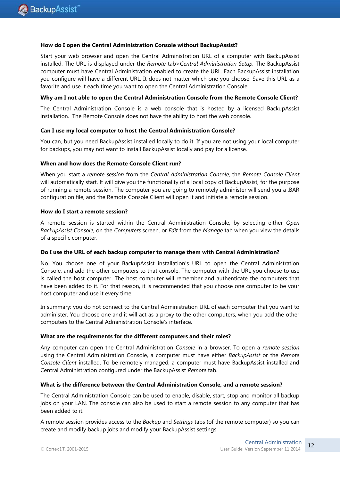#### **How do I open the Central Administration Console without BackupAssist?**

Start your web browser and open the Central Administration URL of a computer with BackupAssist installed. The URL is displayed under the *Remote* tab>*Central Administration Setup.* The BackupAssist computer must have Central Administration enabled to create the URL. Each BackupAssist installation you configure will have a different URL. It does not matter which one you choose. Save this URL as a favorite and use it each time you want to open the Central Administration Console.

#### **Why am I not able to open the Central Administration Console from the Remote Console Client?**

The Central Administration Console is a web console that is hosted by a licensed BackupAssist installation. The Remote Console does not have the ability to host the web console.

#### **Can I use my local computer to host the Central Administration Console?**

You can, but you need BackupAssist installed locally to do it. If you are not using your local computer for backups, you may not want to install BackupAssist locally and pay for a license.

#### **When and how does the Remote Console Client run?**

When you start a *remote session* from the *Central Administration Console*, the *Remote Console Client* will automatically start. It will give you the functionality of a local copy of BackupAssist, for the purpose of running a remote session. The computer you are going to remotely administer will send you a .BAR configuration file, and the Remote Console Client will open it and initiate a remote session.

#### **How do I start a remote session?**

A remote session is started within the Central Administration Console, by selecting either *Open BackupAssist Console*, on the *Computers* screen, or *Edit* from the *Manage* tab when you view the details of a specific computer.

#### **Do I use the URL of each backup computer to manage them with Central Administration?**

No. You choose one of your BackupAssist installation's URL to open the Central Administration Console, and add the other computers to that console. The computer with the URL you choose to use is called the host computer. The host computer will remember and authenticate the computers that have been added to it. For that reason, it is recommended that you choose one computer to be your host computer and use it every time.

In summary: you do not connect to the Central Administration URL of each computer that you want to administer. You choose one and it will act as a proxy to the other computers, when you add the other computers to the Central Administration Console's interface.

#### **What are the requirements for the different computers and their roles?**

Any computer can open the Central Administration *Console* in a browser. To open a *remote session* using the Central Administration Console, a computer must have either *BackupAssist* or the *Remote Console Client* installed. To be remotely managed, a computer must have BackupAssist installed and Central Administration configured under the BackupAssist *Remote* tab.

#### **What is the difference between the Central Administration Console, and a remote session?**

The Central Administration Console can be used to enable, disable, start, stop and monitor all backup jobs on your LAN. The console can also be used to start a remote session to any computer that has been added to it.

A remote session provides access to the *Backup* and *Settings* tabs (of the remote computer) so you can create and modify backup jobs and modify your BackupAssist settings.